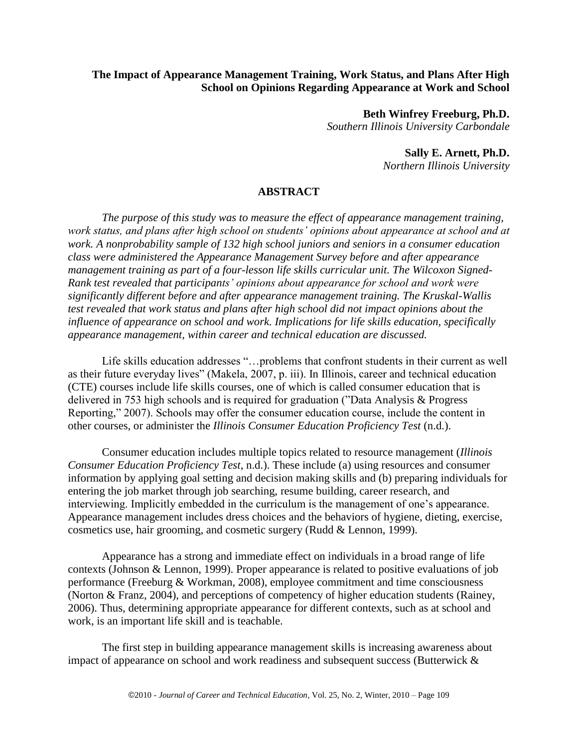## **The Impact of Appearance Management Training, Work Status, and Plans After High School on Opinions Regarding Appearance at Work and School**

**Beth Winfrey Freeburg, Ph.D.** *Southern Illinois University Carbondale*

> **Sally E. Arnett, Ph.D.** *Northern Illinois University*

## **ABSTRACT**

*The purpose of this study was to measure the effect of appearance management training, work status, and plans after high school on students' opinions about appearance at school and at work. A nonprobability sample of 132 high school juniors and seniors in a consumer education class were administered the Appearance Management Survey before and after appearance management training as part of a four-lesson life skills curricular unit. The Wilcoxon Signed-Rank test revealed that participants' opinions about appearance for school and work were significantly different before and after appearance management training. The Kruskal-Wallis test revealed that work status and plans after high school did not impact opinions about the influence of appearance on school and work. Implications for life skills education, specifically appearance management, within career and technical education are discussed.*

Life skills education addresses "...problems that confront students in their current as well as their future everyday lives" (Makela, 2007, p. iii). In Illinois, career and technical education (CTE) courses include life skills courses, one of which is called consumer education that is delivered in 753 high schools and is required for graduation ("Data Analysis  $&$  Progress Reporting," 2007). Schools may offer the consumer education course, include the content in other courses, or administer the *Illinois Consumer Education Proficiency Test* (n.d.).

Consumer education includes multiple topics related to resource management (*Illinois Consumer Education Proficiency Test*, n.d.). These include (a) using resources and consumer information by applying goal setting and decision making skills and (b) preparing individuals for entering the job market through job searching, resume building, career research, and interviewing. Implicitly embedded in the curriculum is the management of one's appearance. Appearance management includes dress choices and the behaviors of hygiene, dieting, exercise, cosmetics use, hair grooming, and cosmetic surgery (Rudd & Lennon, 1999).

Appearance has a strong and immediate effect on individuals in a broad range of life contexts (Johnson & Lennon, 1999). Proper appearance is related to positive evaluations of job performance (Freeburg & Workman, 2008), employee commitment and time consciousness (Norton & Franz, 2004), and perceptions of competency of higher education students (Rainey, 2006). Thus, determining appropriate appearance for different contexts, such as at school and work, is an important life skill and is teachable.

The first step in building appearance management skills is increasing awareness about impact of appearance on school and work readiness and subsequent success (Butterwick &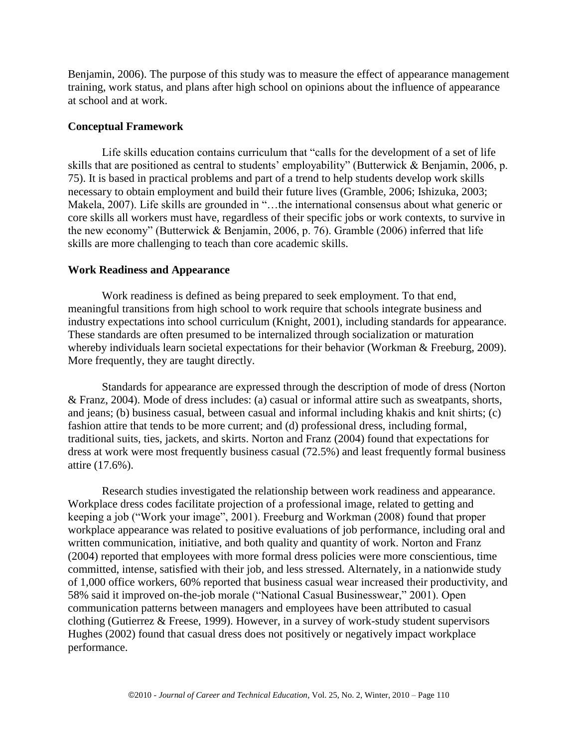Benjamin, 2006). The purpose of this study was to measure the effect of appearance management training, work status, and plans after high school on opinions about the influence of appearance at school and at work.

## **Conceptual Framework**

Life skills education contains curriculum that "calls for the development of a set of life skills that are positioned as central to students' employability" (Butterwick & Benjamin, 2006, p. 75). It is based in practical problems and part of a trend to help students develop work skills necessary to obtain employment and build their future lives (Gramble, 2006; Ishizuka, 2003; Makela, 2007). Life skills are grounded in "...the international consensus about what generic or core skills all workers must have, regardless of their specific jobs or work contexts, to survive in the new economy" (Butterwick & Benjamin, 2006, p. 76). Gramble (2006) inferred that life skills are more challenging to teach than core academic skills.

### **Work Readiness and Appearance**

Work readiness is defined as being prepared to seek employment. To that end, meaningful transitions from high school to work require that schools integrate business and industry expectations into school curriculum (Knight, 2001), including standards for appearance. These standards are often presumed to be internalized through socialization or maturation whereby individuals learn societal expectations for their behavior (Workman & Freeburg, 2009). More frequently, they are taught directly.

Standards for appearance are expressed through the description of mode of dress (Norton & Franz, 2004). Mode of dress includes: (a) casual or informal attire such as sweatpants, shorts, and jeans; (b) business casual, between casual and informal including khakis and knit shirts; (c) fashion attire that tends to be more current; and (d) professional dress, including formal, traditional suits, ties, jackets, and skirts. Norton and Franz (2004) found that expectations for dress at work were most frequently business casual (72.5%) and least frequently formal business attire (17.6%).

Research studies investigated the relationship between work readiness and appearance. Workplace dress codes facilitate projection of a professional image, related to getting and keeping a job ("Work your image", 2001). Freeburg and Workman (2008) found that proper workplace appearance was related to positive evaluations of job performance, including oral and written communication, initiative, and both quality and quantity of work. Norton and Franz (2004) reported that employees with more formal dress policies were more conscientious, time committed, intense, satisfied with their job, and less stressed. Alternately, in a nationwide study of 1,000 office workers, 60% reported that business casual wear increased their productivity, and 58% said it improved on-the-job morale ("National Casual Businesswear," 2001). Open communication patterns between managers and employees have been attributed to casual clothing (Gutierrez & Freese, 1999). However, in a survey of work-study student supervisors Hughes (2002) found that casual dress does not positively or negatively impact workplace performance.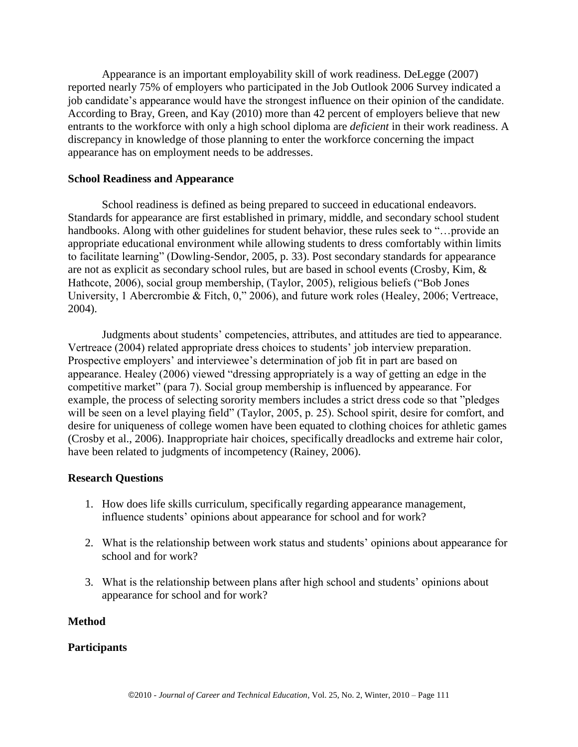Appearance is an important employability skill of work readiness. DeLegge (2007) reported nearly 75% of employers who participated in the Job Outlook 2006 Survey indicated a job candidate's appearance would have the strongest influence on their opinion of the candidate. According to Bray, Green, and Kay (2010) more than 42 percent of employers believe that new entrants to the workforce with only a high school diploma are *deficient* in their work readiness. A discrepancy in knowledge of those planning to enter the workforce concerning the impact appearance has on employment needs to be addresses.

## **School Readiness and Appearance**

School readiness is defined as being prepared to succeed in educational endeavors. Standards for appearance are first established in primary, middle, and secondary school student handbooks. Along with other guidelines for student behavior, these rules seek to "...provide an appropriate educational environment while allowing students to dress comfortably within limits to facilitate learning" (Dowling-Sendor, 2005, p. 33). Post secondary standards for appearance are not as explicit as secondary school rules, but are based in school events (Crosby, Kim, & Hathcote, 2006), social group membership, (Taylor, 2005), religious beliefs ("Bob Jones" University, 1 Abercrombie & Fitch,  $0$ ," 2006), and future work roles (Healey, 2006; Vertreace, 2004).

Judgments about students' competencies, attributes, and attitudes are tied to appearance. Vertreace (2004) related appropriate dress choices to students' job interview preparation. Prospective employers' and interviewee's determination of job fit in part are based on appearance. Healey (2006) viewed "dressing appropriately is a way of getting an edge in the competitive market" (para 7). Social group membership is influenced by appearance. For example, the process of selecting sorority members includes a strict dress code so that "pledges" will be seen on a level playing field" (Taylor, 2005, p. 25). School spirit, desire for comfort, and desire for uniqueness of college women have been equated to clothing choices for athletic games (Crosby et al., 2006). Inappropriate hair choices, specifically dreadlocks and extreme hair color, have been related to judgments of incompetency (Rainey, 2006).

## **Research Questions**

- 1. How does life skills curriculum, specifically regarding appearance management, influence students' opinions about appearance for school and for work?
- 2. What is the relationship between work status and students' opinions about appearance for school and for work?
- 3. What is the relationship between plans after high school and students' opinions about appearance for school and for work?

# **Method**

# **Participants**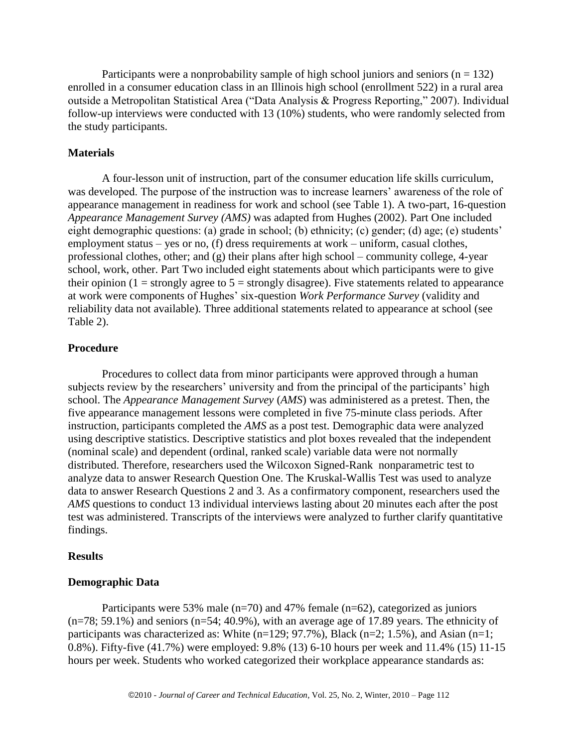Participants were a nonprobability sample of high school juniors and seniors ( $n = 132$ ) enrolled in a consumer education class in an Illinois high school (enrollment 522) in a rural area outside a Metropolitan Statistical Area ("Data Analysis & Progress Reporting," 2007). Individual follow-up interviews were conducted with 13 (10%) students, who were randomly selected from the study participants.

#### **Materials**

A four-lesson unit of instruction, part of the consumer education life skills curriculum, was developed. The purpose of the instruction was to increase learners' awareness of the role of appearance management in readiness for work and school (see Table 1). A two-part, 16-question *Appearance Management Survey (AMS)* was adapted from Hughes (2002). Part One included eight demographic questions: (a) grade in school; (b) ethnicity; (c) gender; (d) age; (e) students' employment status – yes or no, (f) dress requirements at work – uniform, casual clothes, professional clothes, other; and (g) their plans after high school – community college, 4-year school, work, other. Part Two included eight statements about which participants were to give their opinion (1 = strongly agree to  $5$  = strongly disagree). Five statements related to appearance at work were components of Hughes' six-question *Work Performance Survey* (validity and reliability data not available)*.* Three additional statements related to appearance at school (see Table 2).

### **Procedure**

Procedures to collect data from minor participants were approved through a human subjects review by the researchers' university and from the principal of the participants' high school. The *Appearance Management Survey* (*AMS*) was administered as a pretest. Then, the five appearance management lessons were completed in five 75-minute class periods. After instruction, participants completed the *AMS* as a post test. Demographic data were analyzed using descriptive statistics. Descriptive statistics and plot boxes revealed that the independent (nominal scale) and dependent (ordinal, ranked scale) variable data were not normally distributed. Therefore, researchers used the Wilcoxon Signed-Rank nonparametric test to analyze data to answer Research Question One. The Kruskal-Wallis Test was used to analyze data to answer Research Questions 2 and 3. As a confirmatory component, researchers used the *AMS* questions to conduct 13 individual interviews lasting about 20 minutes each after the post test was administered. Transcripts of the interviews were analyzed to further clarify quantitative findings.

#### **Results**

### **Demographic Data**

Participants were 53% male ( $n=70$ ) and 47% female ( $n=62$ ), categorized as juniors (n=78; 59.1%) and seniors (n=54; 40.9%), with an average age of 17.89 years. The ethnicity of participants was characterized as: White  $(n=129; 97.7\%)$ , Black  $(n=2; 1.5\%)$ , and Asian  $(n=1;$ 0.8%). Fifty-five (41.7%) were employed: 9.8% (13) 6-10 hours per week and 11.4% (15) 11-15 hours per week. Students who worked categorized their workplace appearance standards as: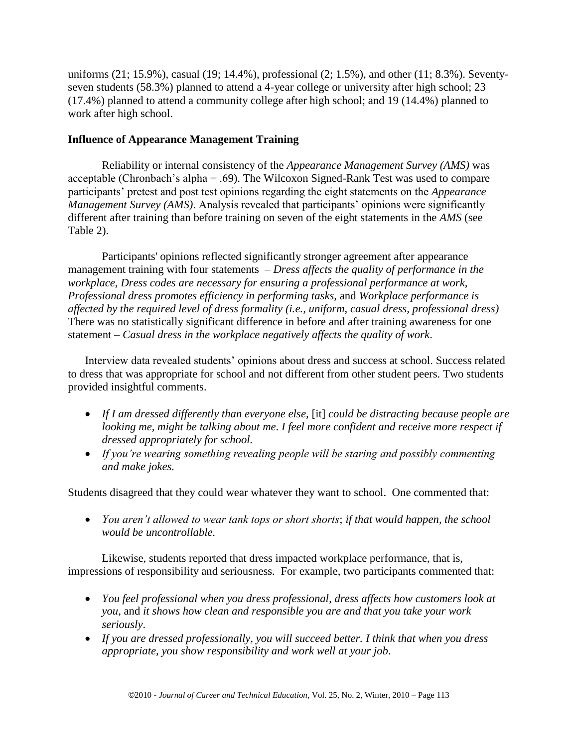uniforms (21; 15.9%), casual (19; 14.4%), professional (2; 1.5%), and other (11; 8.3%). Seventyseven students (58.3%) planned to attend a 4-year college or university after high school; 23 (17.4%) planned to attend a community college after high school; and 19 (14.4%) planned to work after high school.

# **Influence of Appearance Management Training**

Reliability or internal consistency of the *Appearance Management Survey (AMS)* was acceptable (Chronbach's alpha = .69). The Wilcoxon Signed-Rank Test was used to compare participants' pretest and post test opinions regarding the eight statements on the *Appearance Management Survey (AMS).* Analysis revealed that participants' opinions were significantly different after training than before training on seven of the eight statements in the *AMS* (see Table 2).

Participants' opinions reflected significantly stronger agreement after appearance management training with four statements – *Dress affects the quality of performance in the workplace, Dress codes are necessary for ensuring a professional performance at work, Professional dress promotes efficiency in performing tasks,* and *Workplace performance is affected by the required level of dress formality (i.e., uniform, casual dress, professional dress)* There was no statistically significant difference in before and after training awareness for one statement – *Casual dress in the workplace negatively affects the quality of work*.

Interview data revealed students' opinions about dress and success at school. Success related to dress that was appropriate for school and not different from other student peers. Two students provided insightful comments.

- *If I am dressed differently than everyone else,* [it] *could be distracting because people are looking me, might be talking about me*. *I feel more confident and receive more respect if dressed appropriately for school.*
- *If you're wearing something revealing people will be staring and possibly commenting and make jokes.*

Students disagreed that they could wear whatever they want to school. One commented that:

 *You aren't allowed to wear tank tops or short shorts*; *if that would happen, the school would be uncontrollable.*

Likewise, students reported that dress impacted workplace performance, that is, impressions of responsibility and seriousness. For example, two participants commented that:

- *You feel professional when you dress professional*, *dress affects how customers look at you*, and *it shows how clean and responsible you are and that you take your work seriously*.
- *If you are dressed professionally, you will succeed better. I think that when you dress appropriate, you show responsibility and work well at your job*.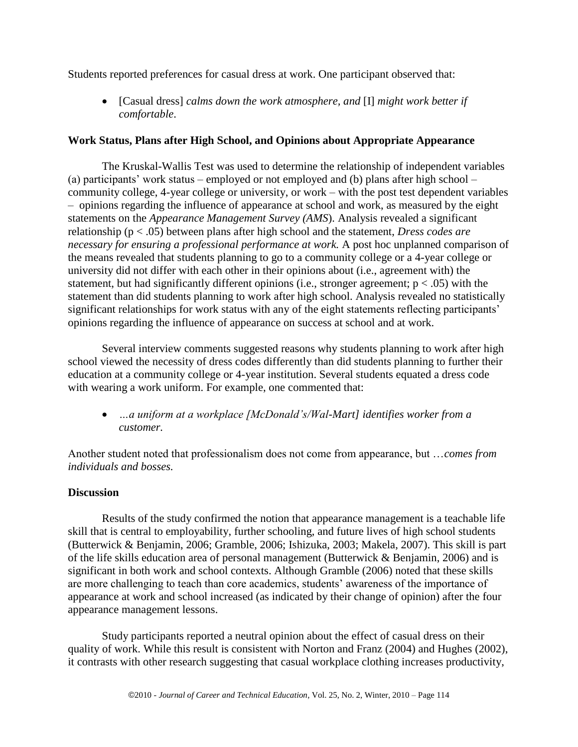Students reported preferences for casual dress at work. One participant observed that:

 [Casual dress] *calms down the work atmosphere, and* [I] *might work better if comfortable*.

## **Work Status, Plans after High School, and Opinions about Appropriate Appearance**

The Kruskal-Wallis Test was used to determine the relationship of independent variables (a) participants' work status – employed or not employed and (b) plans after high school – community college, 4-year college or university, or work – with the post test dependent variables – opinions regarding the influence of appearance at school and work, as measured by the eight statements on the *Appearance Management Survey (AMS*). Analysis revealed a significant relationship (p < .05) between plans after high school and the statement, *Dress codes are necessary for ensuring a professional performance at work.* A post hoc unplanned comparison of the means revealed that students planning to go to a community college or a 4-year college or university did not differ with each other in their opinions about (i.e., agreement with) the statement, but had significantly different opinions (i.e., stronger agreement;  $p < .05$ ) with the statement than did students planning to work after high school. Analysis revealed no statistically significant relationships for work status with any of the eight statements reflecting participants' opinions regarding the influence of appearance on success at school and at work.

Several interview comments suggested reasons why students planning to work after high school viewed the necessity of dress codes differently than did students planning to further their education at a community college or 4-year institution. Several students equated a dress code with wearing a work uniform. For example, one commented that:

 *…a uniform at a workplace [McDonald's/Wal-Mart] identifies worker from a customer.*

Another student noted that professionalism does not come from appearance, but …*comes from individuals and bosses.*

# **Discussion**

Results of the study confirmed the notion that appearance management is a teachable life skill that is central to employability, further schooling, and future lives of high school students (Butterwick & Benjamin, 2006; Gramble, 2006; Ishizuka, 2003; Makela, 2007). This skill is part of the life skills education area of personal management (Butterwick & Benjamin, 2006) and is significant in both work and school contexts. Although Gramble (2006) noted that these skills are more challenging to teach than core academics, students' awareness of the importance of appearance at work and school increased (as indicated by their change of opinion) after the four appearance management lessons.

Study participants reported a neutral opinion about the effect of casual dress on their quality of work. While this result is consistent with Norton and Franz (2004) and Hughes (2002), it contrasts with other research suggesting that casual workplace clothing increases productivity,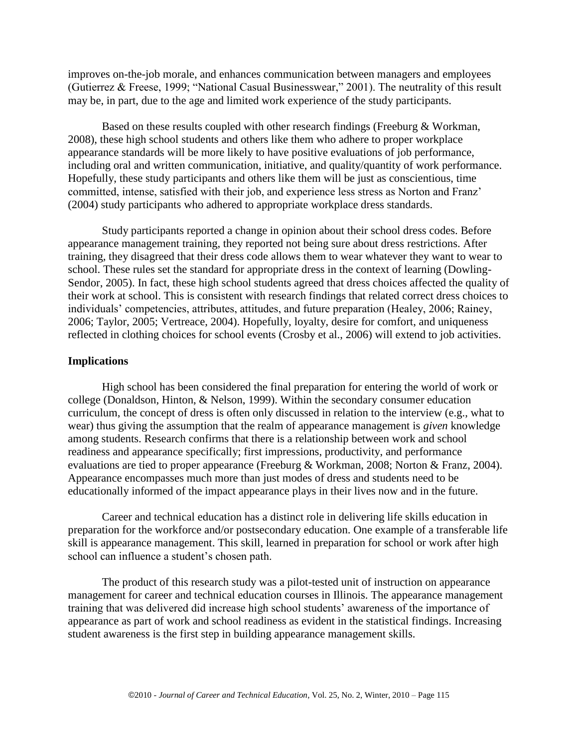improves on-the-job morale, and enhances communication between managers and employees (Gutierrez & Freese, 1999; "National Casual Businesswear," 2001). The neutrality of this result may be, in part, due to the age and limited work experience of the study participants.

Based on these results coupled with other research findings (Freeburg & Workman, 2008), these high school students and others like them who adhere to proper workplace appearance standards will be more likely to have positive evaluations of job performance, including oral and written communication, initiative, and quality/quantity of work performance. Hopefully, these study participants and others like them will be just as conscientious, time committed, intense, satisfied with their job, and experience less stress as Norton and Franz' (2004) study participants who adhered to appropriate workplace dress standards.

Study participants reported a change in opinion about their school dress codes. Before appearance management training, they reported not being sure about dress restrictions. After training, they disagreed that their dress code allows them to wear whatever they want to wear to school. These rules set the standard for appropriate dress in the context of learning (Dowling-Sendor, 2005). In fact, these high school students agreed that dress choices affected the quality of their work at school. This is consistent with research findings that related correct dress choices to individuals' competencies, attributes, attitudes, and future preparation (Healey, 2006; Rainey, 2006; Taylor, 2005; Vertreace, 2004). Hopefully, loyalty, desire for comfort, and uniqueness reflected in clothing choices for school events (Crosby et al., 2006) will extend to job activities.

#### **Implications**

High school has been considered the final preparation for entering the world of work or college (Donaldson, Hinton, & Nelson, 1999). Within the secondary consumer education curriculum, the concept of dress is often only discussed in relation to the interview (e.g., what to wear) thus giving the assumption that the realm of appearance management is *given* knowledge among students. Research confirms that there is a relationship between work and school readiness and appearance specifically; first impressions, productivity, and performance evaluations are tied to proper appearance (Freeburg & Workman, 2008; Norton & Franz, 2004). Appearance encompasses much more than just modes of dress and students need to be educationally informed of the impact appearance plays in their lives now and in the future.

Career and technical education has a distinct role in delivering life skills education in preparation for the workforce and/or postsecondary education. One example of a transferable life skill is appearance management. This skill, learned in preparation for school or work after high school can influence a student's chosen path.

The product of this research study was a pilot-tested unit of instruction on appearance management for career and technical education courses in Illinois. The appearance management training that was delivered did increase high school students' awareness of the importance of appearance as part of work and school readiness as evident in the statistical findings. Increasing student awareness is the first step in building appearance management skills.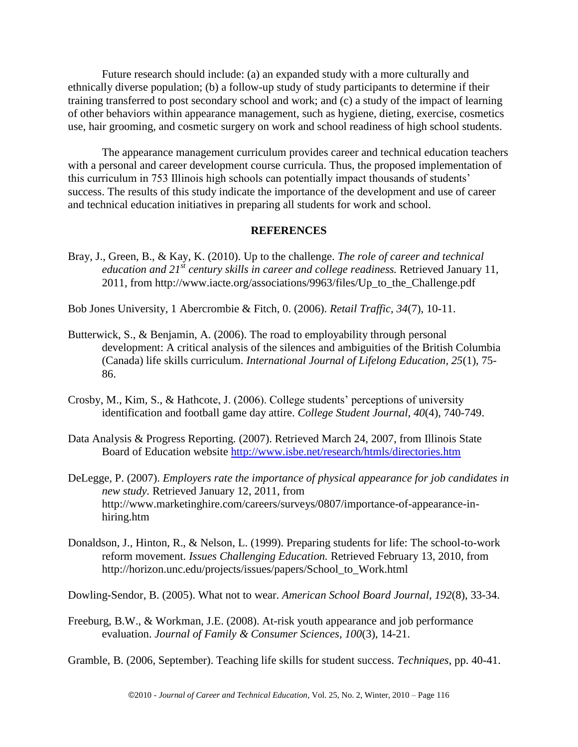Future research should include: (a) an expanded study with a more culturally and ethnically diverse population; (b) a follow-up study of study participants to determine if their training transferred to post secondary school and work; and (c) a study of the impact of learning of other behaviors within appearance management, such as hygiene, dieting, exercise, cosmetics use, hair grooming, and cosmetic surgery on work and school readiness of high school students.

The appearance management curriculum provides career and technical education teachers with a personal and career development course curricula. Thus, the proposed implementation of this curriculum in 753 Illinois high schools can potentially impact thousands of students' success. The results of this study indicate the importance of the development and use of career and technical education initiatives in preparing all students for work and school.

### **REFERENCES**

Bray, J., Green, B., & Kay, K. (2010). Up to the challenge. *The role of career and technical education and 21st century skills in career and college readiness.* Retrieved January 11, 2011, from http://www.iacte.org/associations/9963/files/Up\_to\_the\_Challenge.pdf

Bob Jones University, 1 Abercrombie & Fitch, 0. (2006). *Retail Traffic, 34*(7), 10-11.

- Butterwick, S., & Benjamin, A. (2006). The road to employability through personal development: A critical analysis of the silences and ambiguities of the British Columbia (Canada) life skills curriculum. *International Journal of Lifelong Education, 25*(1), 75- 86.
- Crosby, M., Kim, S., & Hathcote, J. (2006). College students' perceptions of university identification and football game day attire. *College Student Journal, 40*(4), 740-749.
- Data Analysis & Progress Reporting*.* (2007). Retrieved March 24, 2007, from Illinois State Board of Education website<http://www.isbe.net/research/htmls/directories.htm>
- DeLegge, P. (2007). *Employers rate the importance of physical appearance for job candidates in new study.* Retrieved January 12, 2011, from http://www.marketinghire.com/careers/surveys/0807/importance-of-appearance-inhiring.htm
- Donaldson, J., Hinton, R., & Nelson, L. (1999). Preparing students for life: The school-to-work reform movement. *Issues Challenging Education.* Retrieved February 13, 2010, from http://horizon.unc.edu/projects/issues/papers/School\_to\_Work.html

Dowling-Sendor, B. (2005). What not to wear. *American School Board Journal, 192*(8), 33-34.

Freeburg, B.W., & Workman, J.E. (2008). At-risk youth appearance and job performance evaluation. *Journal of Family & Consumer Sciences, 100*(3), 14-21.

Gramble, B. (2006, September). Teaching life skills for student success. *Techniques*, pp. 40-41.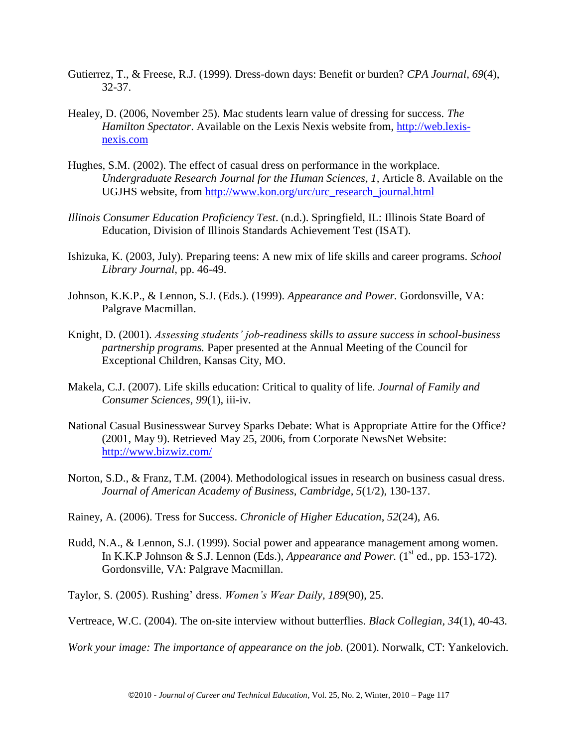- Gutierrez, T., & Freese, R.J. (1999). Dress-down days: Benefit or burden? *CPA Journal, 69*(4), 32-37.
- Healey, D. (2006, November 25). Mac students learn value of dressing for success. *The Hamilton Spectator*. Available on the Lexis Nexis website from, [http://web.lexis](http://web.lexis-nexis.com/)[nexis.com](http://web.lexis-nexis.com/)
- Hughes, S.M. (2002). The effect of casual dress on performance in the workplace. *Undergraduate Research Journal for the Human Sciences, 1,* Article 8. Available on the UGJHS website, from [http://www.kon.org/urc/urc\\_research\\_journal.html](http://www.kon.org/urc/urc_research_journal.html)
- *Illinois Consumer Education Proficiency Test*. (n.d.). Springfield, IL: Illinois State Board of Education, Division of Illinois Standards Achievement Test (ISAT).
- Ishizuka, K. (2003, July). Preparing teens: A new mix of life skills and career programs. *School Library Journal,* pp. 46-49.
- Johnson, K.K.P., & Lennon, S.J. (Eds.). (1999). *Appearance and Power.* Gordonsville, VA: Palgrave Macmillan.
- Knight, D. (2001). *Assessing students' job-readiness skills to assure success in school-business partnership programs.* Paper presented at the Annual Meeting of the Council for Exceptional Children, Kansas City, MO.
- Makela, C.J. (2007). Life skills education: Critical to quality of life. *Journal of Family and Consumer Sciences*, *99*(1), iii-iv.
- National Casual Businesswear Survey Sparks Debate: What is Appropriate Attire for the Office? (2001, May 9). Retrieved May 25, 2006, from Corporate NewsNet Website: <http://www.bizwiz.com/>
- Norton, S.D., & Franz, T.M. (2004). Methodological issues in research on business casual dress. *Journal of American Academy of Business, Cambridge, 5*(1/2), 130-137.
- Rainey, A. (2006). Tress for Success. *Chronicle of Higher Education*, *52*(24), A6.
- Rudd, N.A., & Lennon, S.J. (1999). Social power and appearance management among women. In K.K.P Johnson & S.J. Lennon (Eds.), *Appearance and Power*. ( $1<sup>st</sup>$  ed., pp. 153-172). Gordonsville, VA: Palgrave Macmillan.

Taylor, S. (2005). Rushing' dress. *Women's Wear Daily, 189*(90), 25.

Vertreace, W.C. (2004). The on-site interview without butterflies. *Black Collegian, 34*(1), 40-43.

*Work your image: The importance of appearance on the job.* (2001). Norwalk, CT: Yankelovich.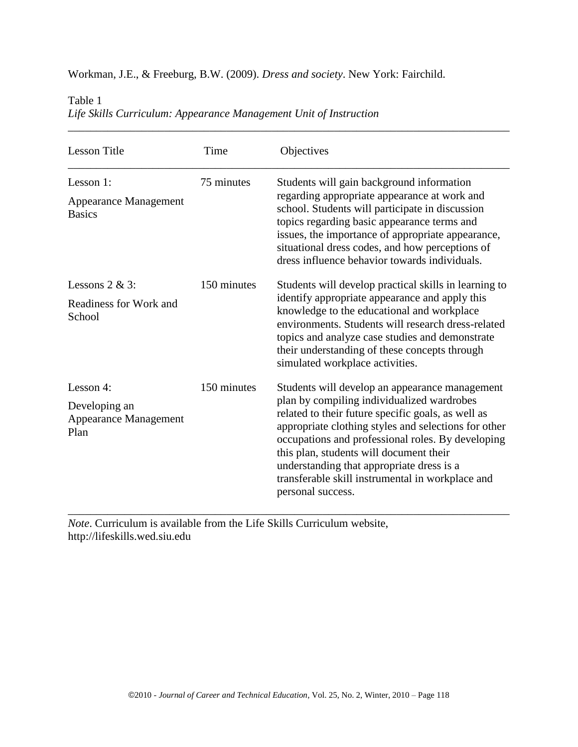Workman, J.E., & Freeburg, B.W. (2009). *Dress and society*. New York: Fairchild.

Table 1

| Life Skills Curriculum: Appearance Management Unit of Instruction |  |
|-------------------------------------------------------------------|--|
|                                                                   |  |

| <b>Lesson Title</b>                                                | Time        | Objectives                                                                                                                                                                                                                                                                                                                                                                                                                       |
|--------------------------------------------------------------------|-------------|----------------------------------------------------------------------------------------------------------------------------------------------------------------------------------------------------------------------------------------------------------------------------------------------------------------------------------------------------------------------------------------------------------------------------------|
| Lesson 1:<br><b>Appearance Management</b><br><b>Basics</b>         | 75 minutes  | Students will gain background information<br>regarding appropriate appearance at work and<br>school. Students will participate in discussion<br>topics regarding basic appearance terms and<br>issues, the importance of appropriate appearance,<br>situational dress codes, and how perceptions of<br>dress influence behavior towards individuals.                                                                             |
| Lessons $2 & 3$ :<br>Readiness for Work and<br>School              | 150 minutes | Students will develop practical skills in learning to<br>identify appropriate appearance and apply this<br>knowledge to the educational and workplace<br>environments. Students will research dress-related<br>topics and analyze case studies and demonstrate<br>their understanding of these concepts through<br>simulated workplace activities.                                                                               |
| Lesson 4:<br>Developing an<br><b>Appearance Management</b><br>Plan | 150 minutes | Students will develop an appearance management<br>plan by compiling individualized wardrobes<br>related to their future specific goals, as well as<br>appropriate clothing styles and selections for other<br>occupations and professional roles. By developing<br>this plan, students will document their<br>understanding that appropriate dress is a<br>transferable skill instrumental in workplace and<br>personal success. |

*Note*. Curriculum is available from the Life Skills Curriculum website, http://lifeskills.wed.siu.edu

*\_\_\_\_\_\_\_\_\_\_\_\_\_\_\_\_\_\_\_\_\_\_\_\_\_\_\_\_\_\_\_\_\_\_\_\_\_\_\_\_\_\_\_\_\_\_\_\_\_\_\_\_\_\_\_\_\_\_\_\_\_\_\_\_\_\_\_\_\_\_\_\_\_\_\_\_\_\_*